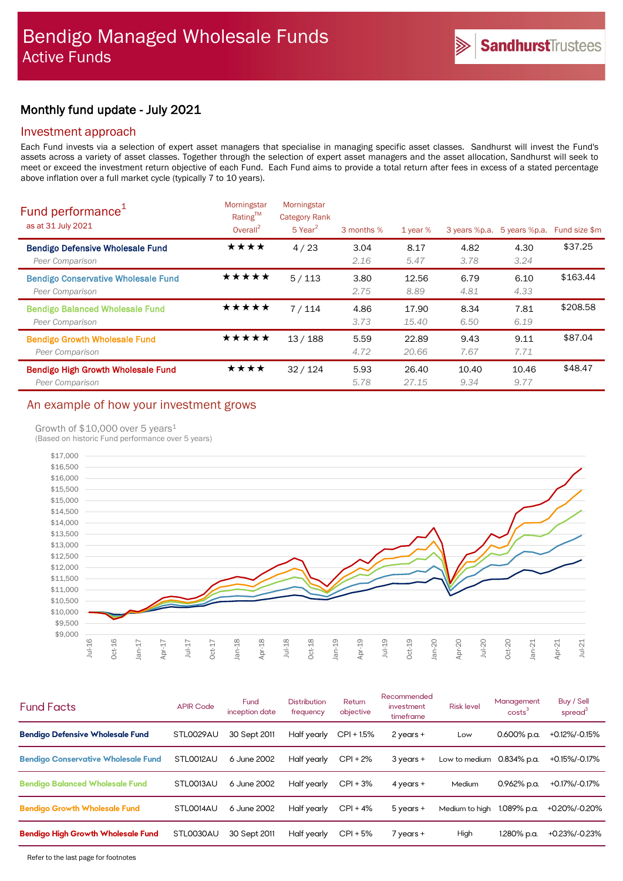## Monthly fund update - July 2021

### Investment approach

Each Fund invests via a selection of expert asset managers that specialise in managing specific asset classes. Sandhurst will invest the Fund's assets across a variety of asset classes. Together through the selection of expert asset managers and the asset allocation, Sandhurst will seek to meet or exceed the investment return objective of each Fund. Each Fund aims to provide a total return after fees in excess of a stated percentage above inflation over a full market cycle (typically 7 to 10 years).

| Fund performance <sup>1</sup><br>as at 31 July 2021           | Morningstar<br>Rating™<br>Overall $^{2}$ | Morningstar<br><b>Category Rank</b><br>$5$ Year <sup>2</sup> | 3 months %   | 1 year $%$     | 3 years %p.a. | 5 years %p.a. | Fund size \$m |
|---------------------------------------------------------------|------------------------------------------|--------------------------------------------------------------|--------------|----------------|---------------|---------------|---------------|
| <b>Bendigo Defensive Wholesale Fund</b><br>Peer Comparison    | ★★★★                                     | 4/23                                                         | 3.04<br>2.16 | 8.17<br>5.47   | 4.82<br>3.78  | 4.30<br>3.24  | \$37.25       |
| <b>Bendigo Conservative Wholesale Fund</b><br>Peer Comparison | ★★★★★                                    | 5/113                                                        | 3.80<br>2.75 | 12.56<br>8.89  | 6.79<br>4.81  | 6.10<br>4.33  | \$163.44      |
| <b>Bendigo Balanced Wholesale Fund</b><br>Peer Comparison     | ★★★★★                                    | 7/114                                                        | 4.86<br>3.73 | 17.90<br>15.40 | 8.34<br>6.50  | 7.81<br>6.19  | \$208.58      |
| <b>Bendigo Growth Wholesale Fund</b><br>Peer Comparison       | ★★★★★                                    | 13/188                                                       | 5.59<br>4.72 | 22.89<br>20.66 | 9.43<br>7.67  | 9.11<br>7.71  | \$87.04       |
| <b>Bendigo High Growth Wholesale Fund</b><br>Peer Comparison  | ★★★★                                     | 32/124                                                       | 5.93<br>5.78 | 26.40<br>27.15 | 10.40<br>9.34 | 10.46<br>9.77 | \$48.47       |

## An example of how your investment grows

### Growth of \$10,000 over 5 years<sup>1</sup>

(Based on historic Fund performance over 5 years)



| <b>Fund Facts</b>                          | <b>APIR Code</b> | Fund<br>inception date | <b>Distribution</b><br>frequency | Return<br>objective | Recommended<br>investment<br>timeframe | <b>Risk level</b> | Management<br>costs <sup>3</sup> | Buy / Sell<br>spread <sup>3</sup> |
|--------------------------------------------|------------------|------------------------|----------------------------------|---------------------|----------------------------------------|-------------------|----------------------------------|-----------------------------------|
| <b>Bendigo Defensive Wholesale Fund</b>    | STL0029AU        | 30 Sept 2011           | Half yearly                      | $CPI + 1.5%$        | $2$ years $+$                          | Low               | $0.600\%$ p.a.                   | +0.12%/-0.15%                     |
| <b>Bendigo Conservative Wholesale Fund</b> | STLO012AU        | 6 June 2002            | Half yearly                      | $CPI + 2%$          | 3 years +                              | Low to medium     | 0.834% p.a.                      | +0.15%/-0.17%                     |
| <b>Bendigo Balanced Wholesale Fund</b>     | STLO013AU        | 6 June 2002            | Half yearly                      | $CPI + 3%$          | $4$ years $+$                          | Medium            | $0.962\%$ p.a.                   | +0.17%/-0.17%                     |
| <b>Bendigo Growth Wholesale Fund</b>       | STLO014AU        | 6 June 2002            | Half yearly                      | $CPI + 4%$          | 5 years +                              | Medium to high    | 1.089% p.a.                      | +0.20%/-0.20%                     |
| <b>Bendigo High Growth Wholesale Fund</b>  | STLO030AU        | 30 Sept 2011           | Half yearly                      | $CPI + 5%$          | $7$ years $+$                          | High              | 1.280% p.a.                      | +0.23%/-0.23%                     |
|                                            |                  |                        |                                  |                     |                                        |                   |                                  |                                   |

Refer to the last page for footnotes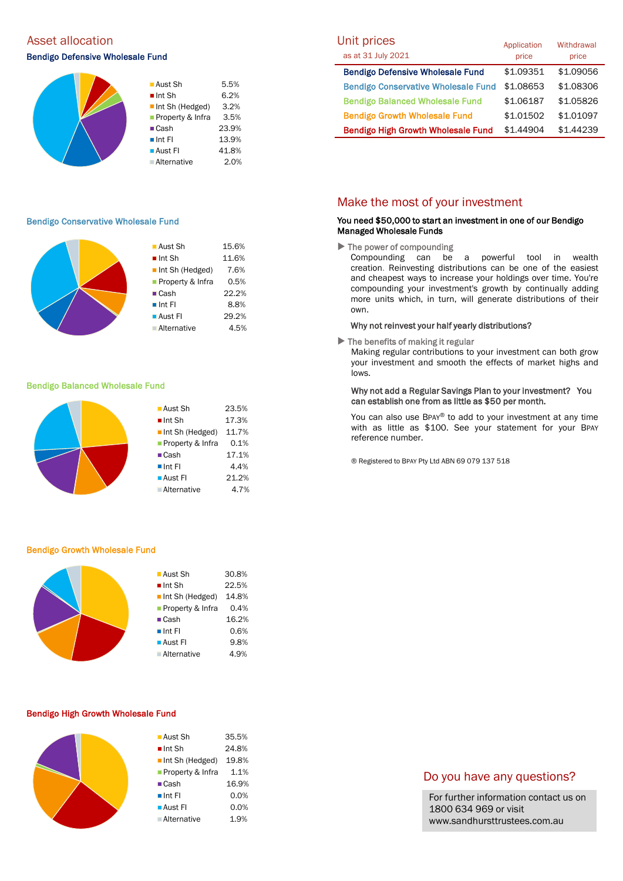# Asset allocation and the Unit prices of the Unit prices of Unit prices and Unit prices

### Bendigo Defensive Wholesale Fund



### Bendigo Conservative Wholesale Fund

|  | $\blacksquare$ Aust Sh | 15.6% |
|--|------------------------|-------|
|  | $\blacksquare$ Int Sh  | 11.6% |
|  | Int Sh (Hedged)        | 7.6%  |
|  | ■ Property & Infra     | 0.5%  |
|  | $\blacksquare$ Cash    | 22.2% |
|  | $\blacksquare$ Int FI  | 8.8%  |
|  | ■ Aust Fl              | 29.2% |
|  | Alternative            | 4.5%  |
|  |                        |       |

#### Bendigo Balanced Wholesale Fund



#### Bendigo Growth Wholesale Fund

|  | ■ Aust Sh                      | 30.8% |
|--|--------------------------------|-------|
|  | $\blacksquare$ Int Sh          | 22.5% |
|  | $\blacksquare$ Int Sh (Hedged) | 14.8% |
|  | Property & Infra               | 0.4%  |
|  | $\blacksquare$ Cash            | 16.2% |
|  | $\blacksquare$ Int FI          | 0.6%  |
|  | $\blacksquare$ Aust FI         | 9.8%  |
|  | <b>Alternative</b>             | 4.9%  |
|  |                                |       |

#### Bendigo High Growth Wholesale Fund

| ■ Aust Sh                      | 35.5% |
|--------------------------------|-------|
| $\blacksquare$ Int Sh          | 24.8% |
| $\blacksquare$ Int Sh (Hedged) | 19.8% |
| ■ Property & Infra             | 1.1%  |
| $\blacksquare$ Cash            | 16.9% |
| $\blacksquare$ Int FI          | 0.0%  |
| ■ Aust Fl                      | 0.0%  |
| ■ Alternative                  | 1.9%  |

| Unit prices<br>as at 31 July 2021          | Application<br>price | Withdrawal<br>price |
|--------------------------------------------|----------------------|---------------------|
| <b>Bendigo Defensive Wholesale Fund</b>    | \$1.09351            | \$1.09056           |
| <b>Bendigo Conservative Wholesale Fund</b> | \$1.08653            | \$1.08306           |
| <b>Bendigo Balanced Wholesale Fund</b>     | \$1.06187            | \$1.05826           |
| <b>Bendigo Growth Wholesale Fund</b>       | \$1.01502            | \$1.01097           |
| <b>Bendigo High Growth Wholesale Fund</b>  | \$1.44904            | \$1.44239           |

### Make the most of your investment

#### You need \$50,000 to start an investment in one of our Bendigo Managed Wholesale Funds

 $\blacktriangleright$  The power of compounding

Compounding can be a powerful tool in wealth creation. Reinvesting distributions can be one of the easiest and cheapest ways to increase your holdings over time. You're compounding your investment's growth by continually adding more units which, in turn, will generate distributions of their own.

#### Why not reinvest your half yearly distributions?

 $\blacktriangleright$  The benefits of making it regular

Making regular contributions to your investment can both grow your investment and smooth the effects of market highs and lows.

#### Why not add a Regular Savings Plan to your investment? You can establish one from as little as \$50 per month.

You can also use BPAY® to add to your investment at any time with as little as \$100. See your statement for your BPAY reference number.

® Registered to BPAY Pty Ltd ABN 69 079 137 518

### Do you have any questions?

For further information contact us on 1800 634 969 or visit www.sandhursttrustees.com.au